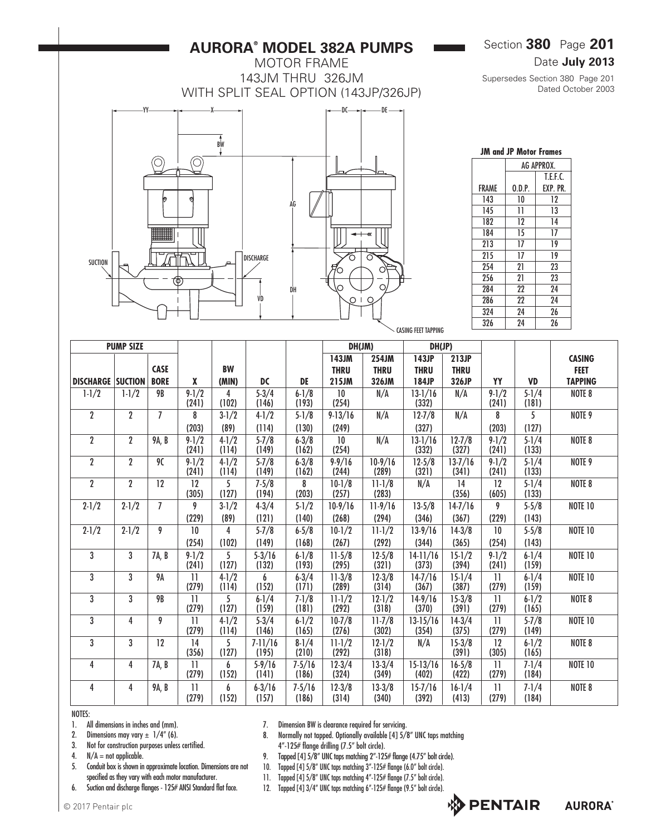# **AURORA® MODEL 382A PUMPS**

MOTOR FRAME 143JM THRU 326JM WITH SPLIT SEAL OPTION (143JP/326JP)



| <b>JM and JP Motor Frames</b> |            |          |  |  |  |  |  |  |  |  |
|-------------------------------|------------|----------|--|--|--|--|--|--|--|--|
|                               | AG APPROX. |          |  |  |  |  |  |  |  |  |
|                               |            | T.F.F.C. |  |  |  |  |  |  |  |  |
| FRAMF                         | 0.D.P.     | EXP. PR. |  |  |  |  |  |  |  |  |
| 143                           | 10         | 12       |  |  |  |  |  |  |  |  |
| 145                           | 11         | 13       |  |  |  |  |  |  |  |  |
| 182                           | 12         | 14       |  |  |  |  |  |  |  |  |
| 184                           | 15         | 17       |  |  |  |  |  |  |  |  |
| 213                           | 17         | 19       |  |  |  |  |  |  |  |  |
| 215                           | 17         | 19       |  |  |  |  |  |  |  |  |
| 254                           | 21         | 23       |  |  |  |  |  |  |  |  |
| 256                           | 21         | 23       |  |  |  |  |  |  |  |  |
| 284                           | 22         | 24       |  |  |  |  |  |  |  |  |
| 286                           | 22         | 24       |  |  |  |  |  |  |  |  |
| 324                           | 24         | 26       |  |  |  |  |  |  |  |  |
| 326                           | 94         | 26       |  |  |  |  |  |  |  |  |

|                          |                  |                |                          |                    |                     |                    |                      |                      | <b>CASING FEET TAPPING</b> |                      | JLU                      | 47                 | ΔU                    |
|--------------------------|------------------|----------------|--------------------------|--------------------|---------------------|--------------------|----------------------|----------------------|----------------------------|----------------------|--------------------------|--------------------|-----------------------|
| <b>PUMP SIZE</b>         |                  |                |                          |                    |                     |                    | DH(JM)               |                      | DH(JP)                     |                      |                          |                    |                       |
|                          |                  | <b>CASE</b>    |                          | <b>BW</b>          |                     |                    | 143JM<br><b>THRU</b> | 254JM<br><b>THRU</b> | 143JP<br><b>THRU</b>       | 213JP<br><b>THRU</b> |                          |                    | <b>CASING</b><br>FEET |
| <b>DISCHARGE SUCTION</b> |                  | <b>BORE</b>    | X                        | (MIN)              | DC                  | DE                 | 215JM                | 326JM                | 184JP                      | 326JP                | YY                       | <b>VD</b>          | <b>TAPPING</b>        |
| $1 - 1/2$                | $1 - 1/2$        | 9B             | $9 - 1/2$<br>(241)       | 4<br>(102)         | $5 - 3/4$<br>(146)  | $6 - 1/8$<br>(193) | 10<br>(254)          | N/A                  | 13-1/16<br>(332)           | N/A                  | $9 - 1/2$<br>(241)       | 5-1/4<br>(181)     | NOTE 8                |
| $\overline{2}$           | 2                | $\overline{1}$ | 8                        | $3 - 1/2$          | $4 - 1/2$           | $5 - 1/8$          | $9 - 13/16$          | N/A                  | $12 - 7/8$                 | N/A                  | 8                        | 5                  | NOTE 9                |
|                          |                  |                | (203)                    | (89)               | (114)               | (130)              | (249)                |                      | (327)                      |                      | (203)                    | (127)              |                       |
| $\mathbf{2}$             | $\boldsymbol{2}$ | 9A, B          | $9-1/2$<br>(241)         | $4 - 1/2$<br>(114) | $5 - 7/8$<br>(149)  | $6 - 3/8$<br>(162) | 10<br>(254)          | N/A                  | $13 - 1/16$<br>(332)       | $12 - 7/8$<br>(327)  | $9 - 1/2$<br>(241)       | $5 - 1/4$<br>(133) | NOTE 8                |
| $\mathbf{2}$             | $\overline{2}$   | 90             | $9-1/2$<br>(241)         | $4 - 1/2$<br>(114) | $5 - 7/8$<br>(149)  | $6 - 3/8$<br>(162) | $9 - 9/16$<br>(244)  | $10-9/16$<br>(289)   | $12-5/8$<br>(321)          | $13 - 7/16$<br>(341) | $9 - 1/2$<br>(241)       | $5 - 1/4$<br>(133) | NOTE 9                |
| $\mathbf 2$              | $\mathbf 2$      | 12             | 12<br>(305)              | 5.<br>(127)        | $7 - 5/8$<br>(194)  | 8<br>(203)         | $10-1/8$<br>(257)    | $11 - 1/8$<br>(283)  | N/A                        | 14<br>(356)          | 12<br>(605)              | $5 - 1/4$<br>(133) | NOTE 8                |
| $2 - 1/2$                | $2 - 1/2$        | $\overline{1}$ | 9                        | $3 - 1/2$          | $4 - 3/4$           | $5 - 1/2$          | $10-9/16$            | $11 - 9/16$          | $13-5/8$                   | $14 - 7/16$          | 9                        | $5 - 5/8$          | <b>NOTE 10</b>        |
|                          |                  |                | (229)                    | (89)               | (121)               | (140)              | (268)                | (294)                | (346)                      | (367)                | (229)                    | (143)              |                       |
| $2 - 1/2$                | $2 - 1/2$        | 9              | 10                       | 4                  | $5 - 7/8$           | $6 - 5/8$          | $10-1/2$             | $11-1/2$             | $13-9/16$                  | $14-3/8$             | 10                       | $5 - 5/8$          | <b>NOTE 10</b>        |
|                          |                  |                | (254)                    | (102)              | (149)               | (168)              | (267)                | (292)                | (344)                      | (365)                | (254)                    | (143)              |                       |
| 3                        | 3                | 7A, B          | $9 - 1/2$<br>(241)       | 5.<br>(127)        | $5 - 3/16$<br>(132) | $6 - 1/8$<br>(193) | $11-5/8$<br>(295)    | $12 - 5/8$<br>(321)  | $14-11/16$<br>(373)        | $15 - 1/2$<br>(394)  | $9 - 1/2$<br>(241)       | $6 - 1/4$<br>(159) | <b>NOTE 10</b>        |
| 3                        | 3                | 9Α             | $\overline{11}$<br>(279) | $4 - 1/2$<br>(114) | 6<br>(152)          | $6 - 3/4$<br>(171) | $11-3/8$<br>(289)    | $12 - 3/8$<br>(314)  | $14 - 7/16$<br>(367)       | $15 - 1/4$<br>(387)  | $\overline{11}$<br>(279) | $6 - 1/4$<br>(159) | <b>NOTE 10</b>        |
| 3                        | 3                | <b>9B</b>      | $\mathbf{1}$<br>(279)    | 5<br>(127)         | $6 - 1/4$<br>(159)  | $7 - 1/8$<br>(181) | $11-1/2$<br>(292)    | $12 - 1/2$<br>(318)  | $14-9/16$<br>(370)         | $15-3/8$<br>(391)    | $\mathbf{1}$<br>(279)    | $6 - 1/2$<br>(165) | NOTE 8                |
| 3                        | 4                | 9              | 11                       | $4 - 1/2$          | $5 - 3/4$           | $6 - 1/2$          | $10 - 7/8$           | $11 - 7/8$           | $13-15/16$                 | $14-3/4$             | $\mathbf{1}$             | $5 - 7/8$          | <b>NOTE 10</b>        |

#### NOTES:

- 1. All dimensions in inches and (mm).
- 2. Dimensions may vary  $\pm$  1/4" (6).
- 3. Not for construction purposes unless certified.
- 4.  $N/A = not applicable.$
- 5. Conduit box is shown in approximate location. Dimensions are not specified as they vary with each motor manufacturer.
- 6. Suction and discharge flanges 125# ANSI Standard flat face.
- 7. Dimension BW is clearance required for servicing.

3 | 3 | 12 | 14 | 5 | 7–11/16 | 8–1/4 | 11–1/2 | 12–1/2 | N/A | 15–3/8 | 12 | 6–1/2 | NOTE 8

4 4 7A, B 11 6 5-9/16 7-5/16 12-3/4 13-3/4 15-13/16 16-5/8 11 7-1/4 NOTE 10

4 | 4 |9A, B | 11 | 6 | 6–3/16 | 7–5/16 | 12–3/8 | 13–3/8 | 15–7/16 | 16–1/4 | 11 | 7–1/4 | NOTE 8

(279) (114) (146) (165) (276) (302) (354) (375) (279) (149)

(356) (127) (195) (210) (292) (318) (391) (305) (165)

(279) (152) (141) (186) (324) (349) (402) (422) (279) (184)

(279) (152) (157) (186) (314) (340) (392) (413) (279) (184)

- 8. Normally not tapped. Optionally available [4] 5/8" UNC taps matching 4"-125# flange drilling (7.5" bolt circle).
- 9. Tapped [4] 5/8" UNC taps matching 2"-125# flange (4.75" bolt circle).
- 10. Tapped [4] 5/8" UNC taps matching 3"-125# flange (6.0" bolt circle).
- 11. Tapped [4] 5/8" UNC taps matching 4"-125# flange (7.5" bolt circle).
- 
- 12. Tapped [4] 3/4" UNC taps matching 6"-125# flange (9.5" bolt circle).

Supersedes Section 380 Page 201 Dated October 2003

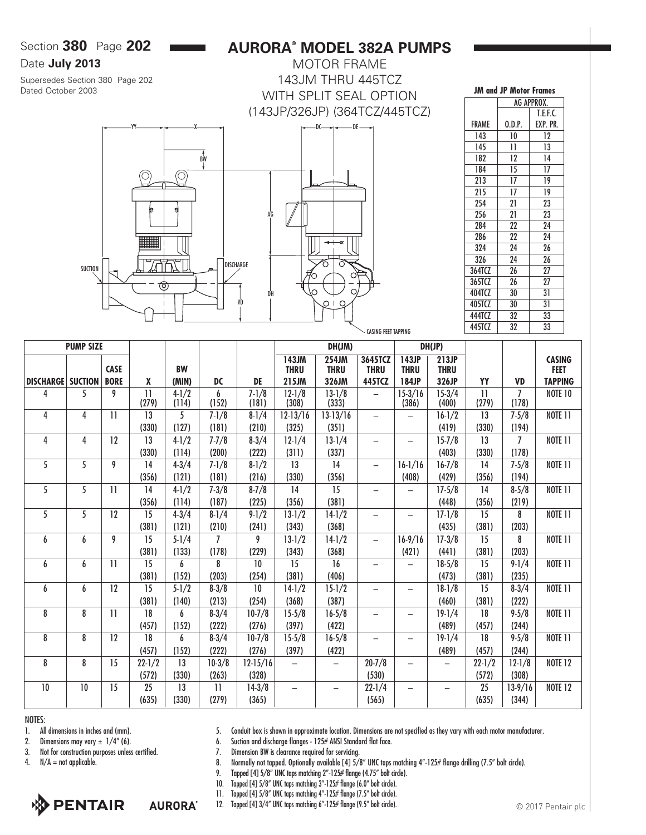Section **380** Page **202**

### Date **July 2013**

Supersedes Section 380 Page 202 Dated October 2003

# **AURORA® MODEL 382A PUMPS**

MOTOR FRAME 143JM THRU 445TCZ WITH SPLIT SEAL OPTION (143JP/326JP) (364TCZ/445TCZ)



| <b>JM and JP Motor Frames</b> |        |          |  |  |  |  |  |  |  |  |  |
|-------------------------------|--------|----------|--|--|--|--|--|--|--|--|--|
| AG APPROX.                    |        |          |  |  |  |  |  |  |  |  |  |
|                               |        | T.E.F.C. |  |  |  |  |  |  |  |  |  |
| FRAME                         | 0.D.P. | EXP. PR. |  |  |  |  |  |  |  |  |  |
| 143                           | 10     | 12       |  |  |  |  |  |  |  |  |  |
| 145                           | 11     | 13       |  |  |  |  |  |  |  |  |  |
| 182                           | 12     | 14       |  |  |  |  |  |  |  |  |  |
| 184                           | 15     | 17       |  |  |  |  |  |  |  |  |  |
| 213                           | 17     | 19       |  |  |  |  |  |  |  |  |  |
| 215                           | 17     | 19       |  |  |  |  |  |  |  |  |  |
| 254                           | 21     | 23       |  |  |  |  |  |  |  |  |  |
| 256                           | 21     | 23       |  |  |  |  |  |  |  |  |  |
| 284                           | 22     | 24       |  |  |  |  |  |  |  |  |  |
| 286                           | 22     | 24       |  |  |  |  |  |  |  |  |  |
| 324                           | 24     | 26       |  |  |  |  |  |  |  |  |  |
| 326                           | 24     | 26       |  |  |  |  |  |  |  |  |  |
| 364TCZ                        | 26     | 27       |  |  |  |  |  |  |  |  |  |
| 365TCZ                        | 26     | 27       |  |  |  |  |  |  |  |  |  |
| 404TCZ                        | 30     | 31       |  |  |  |  |  |  |  |  |  |
| 405TCZ                        | 30     | 31       |  |  |  |  |  |  |  |  |  |
| 444TCZ                        | 32     | 33       |  |  |  |  |  |  |  |  |  |
| 445TCZ                        | 32     | 33       |  |  |  |  |  |  |  |  |  |

|                  | <b>PUMP SIZE</b> |                 |                          |                    |                |                    | DH(JM)                   |                      |                          |                          | DH(JP)               |                          |                         |                              |
|------------------|------------------|-----------------|--------------------------|--------------------|----------------|--------------------|--------------------------|----------------------|--------------------------|--------------------------|----------------------|--------------------------|-------------------------|------------------------------|
|                  |                  | <b>CASE</b>     |                          | <b>BW</b>          |                |                    | 143JM<br><b>THRU</b>     | 254JM<br><b>THRU</b> | 3645TCZ<br><b>THRU</b>   | 143JP<br><b>THRU</b>     | 213JP<br><b>THRU</b> |                          |                         | <b>CASING</b><br><b>FEET</b> |
| <b>DISCHARGE</b> | <b>SUCTION</b>   | <b>BORE</b>     | X                        | (MIN)              | DC             | DE                 | 215JM                    | 326JM                | 445TCZ                   | 184JP                    | 326JP                | YY                       | <b>VD</b>               | <b>TAPPING</b>               |
| 4                | 5                | 9               | $\overline{11}$<br>(279) | $4 - 1/2$<br>(114) | 6<br>(152)     | $7 - 1/8$<br>(181) | $12 - 1/8$<br>(308)      | $13-1/8$<br>(333)    | $\equiv$                 | $15-3/16$<br>(386)       | $15-3/4$<br>(400)    | $\overline{11}$<br>(279) | $\overline{1}$<br>(178) | <b>NOTE 10</b>               |
| 4                | 4                | $\overline{11}$ | 13                       | 5                  | $7 - 1/8$      | $8 - 1/4$          | $12-13/16$               | $13-13/16$           | $\overline{\phantom{0}}$ | $\qquad \qquad -$        | $16-1/2$             | 13                       | $7 - 5/8$               | <b>NOTE 11</b>               |
|                  |                  |                 | (330)                    | (127)              | (181)          | (210)              | (325)                    | (351)                |                          |                          | (419)                | (330)                    | (194)                   |                              |
| 4                | 4                | 12              | 13                       | $4 - 1/2$          | $7 - 7/8$      | $8-3/4$            | $12 - 1/4$               | $13-1/4$             | $\overline{\phantom{0}}$ | $\overline{\phantom{0}}$ | $15 - 7/8$           | 13                       | $\overline{1}$          | <b>NOTE 11</b>               |
|                  |                  |                 | (330)                    | (114)              | (200)          | (222)              | (311)                    | (337)                |                          |                          | (403)                | (330)                    | (178)                   |                              |
| 5                | 5                | 9               | 14                       | $4 - 3/4$          | $7 - 1/8$      | $8 - 1/2$          | 13                       | 14                   | $\overline{\phantom{0}}$ | $16-1/16$                | $16 - 7/8$           | 14                       | $7 - 5/8$               | <b>NOTE 11</b>               |
|                  |                  |                 | (356)                    | (121)              | (181)          | (216)              | (330)                    | (356)                |                          | (408)                    | (429)                | (356)                    | (194)                   |                              |
| 5                | 5                | $\overline{1}$  | 14                       | $4 - 1/2$          | $7 - 3/8$      | $8 - 7/8$          | 14                       | 15                   | $\overline{\phantom{0}}$ | $\overline{\phantom{0}}$ | $17 - 5/8$           | 14                       | $8 - 5/8$               | <b>NOTE 11</b>               |
|                  |                  |                 | (356)                    | (114)              | (187)          | (225)              | (356)                    | (381)                |                          |                          | (448)                | (356)                    | (219)                   |                              |
| 5                | 5                | 12              | 15                       | $4 - 3/4$          | $8 - 1/4$      | $9 - 1/2$          | $13 - 1/2$               | $14-1/2$             | -                        | $\qquad \qquad -$        | $17 - 1/8$           | 15                       | 8                       | <b>NOTE 11</b>               |
|                  |                  |                 | (381)                    | (121)              | (210)          | (241)              | (343)                    | (368)                |                          |                          | (435)                | (381)                    | (203)                   |                              |
| 6                | 6                | 9               | 15                       | $5 - 1/4$          | $\overline{1}$ | 9                  | $13-1/2$                 | $14-1/2$             | $\qquad \qquad -$        | $16-9/16$                | $17 - 3/8$           | 15                       | 8                       | <b>NOTE 11</b>               |
|                  |                  |                 | (381)                    | (133)              | (178)          | (229)              | (343)                    | (368)                |                          | (421)                    | (441)                | (381)                    | (203)                   |                              |
| 6                | 6                | $\overline{11}$ | 15                       | 6                  | 8              | 10                 | 15                       | 16                   | ۳                        | $\overline{\phantom{0}}$ | $18-5/8$             | 15                       | $9 - 1/4$               | <b>NOTE 11</b>               |
|                  |                  |                 | (381)                    | (152)              | (203)          | (254)              | (381)                    | (406)                |                          |                          | (473)                | (381)                    | (235)                   |                              |
| 6                | 6                | 12              | 15                       | $5 - 1/2$          | $8 - 3/8$      | 10                 | $14-1/2$                 | $15 - 1/2$           | $\overline{\phantom{0}}$ | $\overline{\phantom{0}}$ | $18-1/8$             | 15                       | $8 - 3/4$               | <b>NOTE 11</b>               |
|                  |                  |                 | (381)                    | (140)              | (213)          | (254)              | (368)                    | (387)                |                          |                          | (460)                | (381)                    | (222)                   |                              |
| 8                | 8                | $\overline{1}$  | 18                       | 6                  | $8-3/4$        | $10 - 7/8$         | $15-5/8$                 | $16 - 5/8$           |                          | $\overline{\phantom{0}}$ | $19-1/4$             | 18                       | $9 - 5/8$               | <b>NOTE 11</b>               |
|                  |                  |                 | (457)                    | (152)              | (222)          | (276)              | (397)                    | (422)                |                          |                          | (489)                | (457)                    | (244)                   |                              |
| 8                | 8                | 12              | 18                       | 6                  | $8 - 3/4$      | $10 - 7/8$         | $15-5/8$                 | $16 - 5/8$           |                          | -                        | $19-1/4$             | 18                       | $9 - 5/8$               | <b>NOTE 11</b>               |
|                  |                  |                 | (457)                    | (152)              | (222)          | (276)              | (397)                    | (422)                |                          |                          | (489)                | (457)                    | (244)                   |                              |
| 8                | 8                | 15              | $22 - 1/2$               | 13                 | $10-3/8$       | $12-15/16$         |                          |                      | $20 - 7/8$               | -                        |                      | $22 - 1/2$               | $12 - 1/8$              | <b>NOTE 12</b>               |
|                  |                  |                 | (572)                    | (330)              | (263)          | (328)              |                          |                      | (530)                    |                          |                      | (572)                    | (308)                   |                              |
| 10               | 10               | 15              | 25                       | 13                 | $\mathbf{1}$   | $14-3/8$           | $\overline{\phantom{0}}$ |                      | $22 - 1/4$               | $\overline{\phantom{0}}$ |                      | 25                       | $13-9/16$               | <b>NOTE 12</b>               |
|                  |                  |                 | (635)                    | (330)              | (279)          | (365)              |                          |                      | (565)                    |                          |                      | (635)                    | (344)                   |                              |

NOTES:

1. All dimensions in inches and (mm).

2. Dimensions may vary  $\pm$  1/4" (6).

3. Not for construction purposes unless certified.

4.  $N/A = not applicable.$ 

**PENTAIR AURORA**<sup>®</sup> 5. Conduit box is shown in approximate location. Dimensions are not specified as they vary with each motor manufacturer.

6. Suction and discharge flanges - 125# ANSI Standard flat face.

7. Dimension BW is clearance required for servicing.

8. Normally not tapped. Optionally available [4] 5/8" UNC taps matching 4"-125# flange drilling (7.5" bolt circle).

9. Tapped [4] 5/8" UNC taps matching 2"-125# flange (4.75" bolt circle).

10. Tapped [4] 5/8" UNC taps matching 3"-125# flange (6.0" bolt circle).

11. Tapped [4] 5/8" UNC taps matching 4"-125# flange (7.5" bolt circle).

12. Tapped [4] 3/4" UNC taps matching 6"-125# flange (9.5" bolt circle).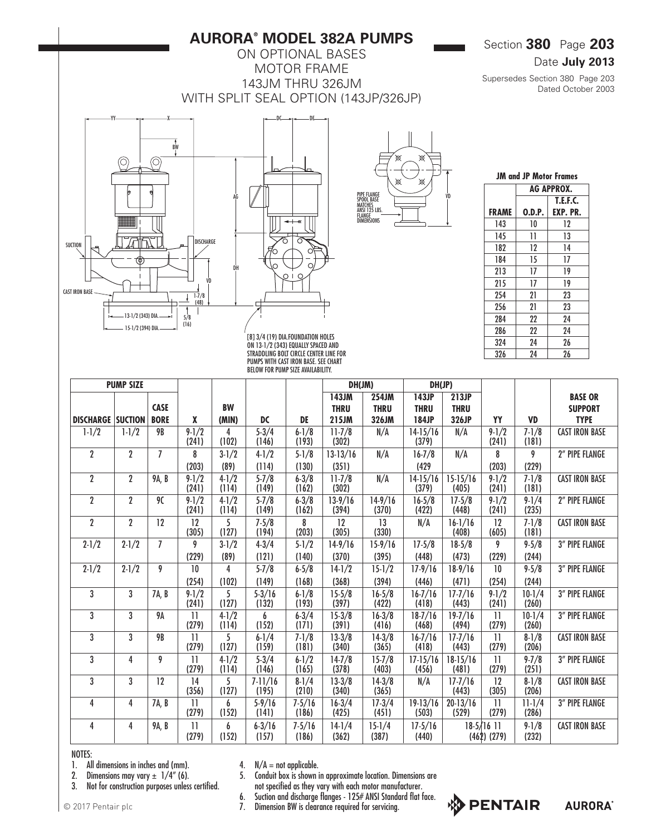## **AURORA® MODEL 382A PUMPS**

ON OPTIONAL BASES MOTOR FRAME 143JM THRU 326JM WITH SPLIT SEAL OPTION (143JP/326JP)

DC DE

## Section **380** Page **203**

## Date **July 2013**

Supersedes Section 380 Page 203 Dated October 2003







| <b>JM and JP Motor Frames</b> |                   |                 |  |  |  |  |  |  |  |  |  |  |
|-------------------------------|-------------------|-----------------|--|--|--|--|--|--|--|--|--|--|
|                               | <b>AG APPROX.</b> |                 |  |  |  |  |  |  |  |  |  |  |
|                               |                   | <b>T.E.F.C.</b> |  |  |  |  |  |  |  |  |  |  |
| <b>FRAME</b>                  | 0.D.P.            | EXP. PR.        |  |  |  |  |  |  |  |  |  |  |
| 143                           | 10                | 12              |  |  |  |  |  |  |  |  |  |  |
| 145                           | 11                | 13              |  |  |  |  |  |  |  |  |  |  |
| 182                           | 12                | 14              |  |  |  |  |  |  |  |  |  |  |
| 184                           | 15                | 17              |  |  |  |  |  |  |  |  |  |  |
| 213                           | 17                | 19              |  |  |  |  |  |  |  |  |  |  |
| 215                           | 17                | 19              |  |  |  |  |  |  |  |  |  |  |
| 254                           | 21                | 23              |  |  |  |  |  |  |  |  |  |  |
| 256                           | 21                | 23              |  |  |  |  |  |  |  |  |  |  |
| 284                           | 22                | 24              |  |  |  |  |  |  |  |  |  |  |
| 286                           | 22                | 24              |  |  |  |  |  |  |  |  |  |  |
| 324                           | 24                | 26              |  |  |  |  |  |  |  |  |  |  |
| 326                           | 24                | 26              |  |  |  |  |  |  |  |  |  |  |

[8] 3/4 (19) DIA.FOUNDATION HOLES ON 13-1/2 (343) EQUALLY SPACED AND STRADDLING BOLT CIRCLE CENTER LINE FOR PUMPS WITH CAST IRON BASE. SEE CHART BELOW FOR PUMP SIZE AVAILABILITY.

|                          | <b>PUMP SIZE</b> |                |                                  |                    |                      |                     | DH(JM)<br>DH(JP)    |                     |                       |                       |                               |                     |                       |
|--------------------------|------------------|----------------|----------------------------------|--------------------|----------------------|---------------------|---------------------|---------------------|-----------------------|-----------------------|-------------------------------|---------------------|-----------------------|
|                          |                  |                |                                  |                    |                      |                     | 143JM               | 254JM               | 143JP                 | 213JP                 |                               |                     | <b>BASE OR</b>        |
|                          |                  | <b>CASE</b>    |                                  | <b>BW</b>          |                      |                     | <b>THRU</b>         | <b>THRU</b>         | <b>THRU</b>           | <b>THRU</b>           |                               |                     | <b>SUPPORT</b>        |
| <b>DISCHARGE SUCTION</b> |                  | <b>BORE</b>    | X                                | (MIN)              | DC                   | DE                  | 215JM               | 326JM               | 184JP                 | 326JP                 | YY                            | <b>VD</b>           | <b>TYPE</b>           |
| $1 - 1/2$                | $1 - 1/2$        | <b>9B</b>      | $9-1/2$<br>(241)                 | 4<br>(102)         | $5 - 3/4$<br>(146)   | $6 - 1/8$<br>(193)  | $11 - 7/8$<br>(302) | N/A                 | $14-15/16$<br>(379)   | N/A                   | $9 - 1/2$<br>(241)            | $7 - 1/8$<br>(181)  | <b>CAST IRON BASE</b> |
| $\overline{2}$           | $\overline{2}$   | $\overline{1}$ | 8                                | $3 - 1/2$          | $4 - 1/2$            | $5 - 1/8$           | $13-13/16$          | N/A                 | $16 - 7/8$            | N/A                   | 8                             | 9                   | 2" PIPE FLANGE        |
|                          |                  |                | (203)                            | (89)               | (114)                | (130)               | (351)               |                     | (429)                 |                       | (203)                         | (229)               |                       |
| $\boldsymbol{2}$         | $\overline{2}$   | 9A, B          | $9 - 1/2$<br>(241)               | $4 - 1/2$<br>(114) | $5 - 7/8$<br>(149)   | $6 - 3/8$<br>(162)  | $11 - 7/8$<br>(302) | N/A                 | $14-15/16$<br>(379)   | $15-15/16$<br>(405)   | $9 - 1/2$<br>(241)            | $7 - 1/8$<br>(181)  | <b>CAST IRON BASE</b> |
| $\overline{2}$           | $\overline{2}$   | 90             | $9 - 1/2$<br>(241)               | $4 - 1/2$<br>(114) | $5 - 7/8$<br>(149)   | $6 - 3/8$<br>(162)  | $13-9/16$<br>(394)  | $14-9/16$<br>(370)  | $16 - 5/8$<br>(422)   | $17 - 5/8$<br>(448)   | $9 - 1/2$<br>(241)            | $9 - 1/4$<br>(235)  | 2" PIPE FLANGE        |
| $\overline{2}$           | $\overline{2}$   | 12             | 12<br>(305)                      | 5<br>(127)         | $7 - 5/8$<br>(194)   | 8<br>(203)          | 12<br>(305)         | 13<br>(330)         | N/A                   | $16-1/16$<br>(408)    | 12<br>(605)                   | $7 - 1/8$<br>(181)  | <b>CAST IRON BASE</b> |
| $2 - 1/2$                | $2 - 1/2$        | $\overline{I}$ | 9                                | $3-1/2$            | $4 - 3/4$            | $5 - 1/2$           | $14-9/16$           | $15-9/16$           | $17 - 5/8$            | $18-5/8$              | 9                             | $9 - 5/8$           | 3" PIPE FLANGE        |
|                          |                  |                | (229)                            | (89)               | (121)                | (140)               | (370)               | (395)               | (448)                 | (473)                 | (229)                         | (244)               |                       |
| $2 - 1/2$                | $2 - 1/2$        | 9              | 10                               | 4                  | $5 - 7/8$            | $6 - 5/8$           | $14-1/2$            | $15 - 1/2$          | $17 - 9/16$           | $18-9/16$             | 10                            | $9 - 5/8$           | 3" PIPE FLANGE        |
|                          |                  |                | (254)                            | (102)              | (149)                | (168)               | (368)               | (394)               | (446)                 | (471)                 | (254)                         | (244)               |                       |
| $\overline{3}$           | 3                | 7A, B          | $9-1/2$<br>(241)                 | 5<br>(127)         | $5 - 3/16$<br>(132)  | $6 - 1/8$<br>(193)  | $15 - 5/8$<br>(397) | $16 - 5/8$<br>(422) | $16 - 7/16$<br>(418)  | $17 - 7/16$<br>(443)  | $9-1/2$<br>(241)              | $10-1/4$<br>(260)   | 3" PIPE FLANGE        |
| 3                        | 3                | 9Α             | $\overline{\mathbf{1}}$<br>(279) | $4 - 1/2$<br>(114) | 6<br>(152)           | $6 - 3/4$<br>(171)  | $15 - 3/8$<br>(391) | $16 - 3/8$<br>(416) | $18-7/16$<br>(468)    | $19 - 7/16$<br>(494)  | $\mathbf{1}$<br>(279)         | $10-1/4$<br>(260)   | 3" PIPE FLANGE        |
| 3                        | 3                | <b>9B</b>      | $\overline{11}$<br>(279)         | 5<br>(127)         | $6 - 1/4$<br>(159)   | $7 - 1/8$<br>(181)  | $13-3/8$<br>(340)   | $14-3/8$<br>(365)   | $16 - 7/16$<br>(418)  | $17 - 7/16$<br>(443)  | $\mathbf{1}$<br>(279)         | $8 - 1/8$<br>(206)  | <b>CAST IRON BASE</b> |
| 3                        | 4                | 9              | $\overline{11}$<br>(279)         | $4 - 1/2$<br>(114) | $5 - 3/4$<br>(146)   | $6 - 1/2$<br>(165)  | $14-7/8$<br>(378)   | $15 - 7/8$<br>(403) | $17 - 15/16$<br>(456) | $18-15/16$<br>(481)   | $\overline{11}$<br>(279)      | $9 - 7/8$<br>(251)  | <b>3" PIPE FLANGE</b> |
| 3                        | 3                | 12             | 14<br>(356)                      | 5<br>(127)         | $7 - 11/16$<br>(195) | $8 - 1/4$<br>(210)  | $13-3/8$<br>(340)   | $14-3/8$<br>(365)   | N/A                   | $17 - 7/16$<br>(443)  | 12<br>(305)                   | $8 - 1/8$<br>(206)  | <b>CAST IRON BASE</b> |
| 4                        | 4                | 7A, B          | $\overline{11}$<br>(279)         | 6<br>(152)         | $5 - 9/16$<br>(141)  | $7 - 5/16$<br>(186) | $16-3/4$<br>(425)   | $17 - 3/4$<br>(451) | $19-13/16$<br>(503)   | $20 - 13/16$<br>(529) | $\overline{11}$<br>(279)      | $11 - 1/4$<br>(286) | <b>3" PIPE FLANGE</b> |
| 4                        | 4                | 9A, B          | $\overline{11}$<br>(279)         | 6<br>(152)         | $6 - 3/16$<br>(157)  | $7 - 5/16$<br>(186) | $14-1/4$<br>(362)   | $15 - 1/4$<br>(387) | $17 - 5/16$<br>(440)  |                       | $18-5/16$ 11<br>$(462)$ (279) | $9 - 1/8$<br>(232)  | <b>CAST IRON BASE</b> |

#### NOTES:

1. All dimensions in inches and (mm).

2. Dimensions may vary  $\pm$  1/4" (6).

3. Not for construction purposes unless certified.

4.  $N/A = not applicable.$ 

5. Conduit box is shown in approximate location. Dimensions are not specified as they vary with each motor manufacturer.

6. Suction and discharge flanges - 125# ANSI Standard flat face.

7. Dimension BW is clearance required for servicing.



© 2017 Pentair plc